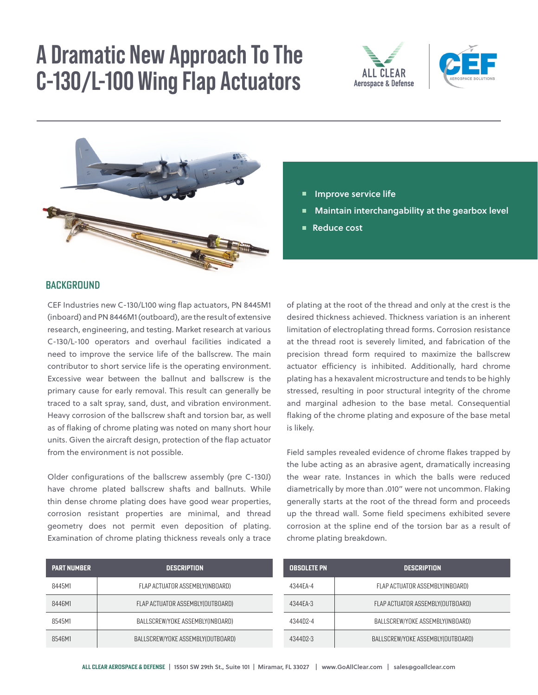# **A Dramatic New Approach To The C-130/L-100 Wing Flap Actuators**





C-130/L100 Wing Flap Actuators

• Maintain Interchangability at the Gearbox Level



## **Improve service life**

- $\blacksquare$  Maintain interchangability at the gearbox level<br> $\blacksquare$  Poduce sect
	- Reduce cost

• Reduce Cost

# Background Background

CEF Industries new C-130/L100 wing flap actuators, PN 8445M1 (inboard) and PN 8446M1 (outboard), are the result of extensive research, engineering, and testing. Market research at various C-130/L-100 operators and overhaul facilities indicated a need to improve the service life of the ballscrew. The main contributor to short service life is the operating environment. Excessive wear between the ballnut and ballscrew is the primary cause for early removal. This result can generally be traced to a salt spray, sand, dust, and vibration environment. Heavy corrosion of the ballscrew shaft and torsion bar, as well as of flaking of chrome plating was noted on many short hour units. Given the aircraft design, protection of the flap actuator from the environment is not possible. and changing the red forms. Corrosion resistance at the thread root is severely

Older configurations of the ballscrew assembly (pre C-130J) The complement of the context account, give client, and the main thin dense chrome plating does have good wear properties, y genera corrosion resistant properties are minimal, and thread up the thre geometry does not permit even deposition of plating. A corrosion Examination of chrome plating thickness reveals only a trace schrome plat

of plating at the root of the thread and only at the crest is the desired thickness achieved. Thickness variation is an inherent limitation of electroplating thread forms. Corrosion resistance at the thread root is severely limited, and fabrication of the precision thread form required to maximize the ballscrew actuator efficiency is inhibited. Additionally, hard chrome plating has a hexavalent microstructure and tends to be highly stressed, resulting in poor structural integrity of the chrome and marginal adhesion to the base metal. Consequential flaking of the chrome plating and exposure of the base metal is likely.

Field samples revealed evidence of chrome flakes trapped by the lube acting as an abrasive agent, dramatically increasing the wear rate. Instances in which the balls were reduced are the metric income than .010" were not uncommon. Flaking diametrically by more than .010" were not uncommon. Flaking generally starts at the root of the thread form and proceeds up the thread wall. Some field specimens exhibited severe corrosion at the spline end of the torsion bar as a result of chrome plating breakdown. limited, and fabrication of the precision of the precision of the precision thread forms of the precision of the precision of the precision of the precision of the precision of the precision of the precision of the precisi

| <b>PART NUMBER</b> | <b>DESCRIPTION</b>                | <b>OBSOLETE PN</b> |  |
|--------------------|-----------------------------------|--------------------|--|
| 8445M1             | FLAP ACTUATOR ASSEMBLY(INBOARD)   | 4344EA-4           |  |
| 8446M1             | FLAP ACTUATOR ASSEMBLY(OUTBOARD)  | 4344EA-3           |  |
| 8545M1             | BALLSCREW/YOKE ASSEMBLY(INBOARD)  | 434402-4           |  |
| 8546M1             | BALLSCREW/YOKE ASSEMBLY(OUTBOARD) | 4344D2-3           |  |